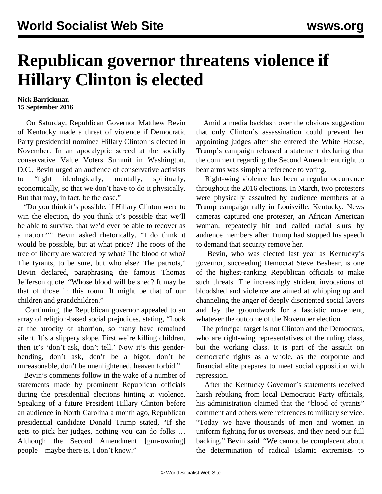## **Republican governor threatens violence if Hillary Clinton is elected**

## **Nick Barrickman 15 September 2016**

 On Saturday, Republican Governor Matthew Bevin of Kentucky made a threat of violence if Democratic Party presidential nominee Hillary Clinton is elected in November. In an apocalyptic screed at the socially conservative Value Voters Summit in Washington, D.C., Bevin urged an audience of conservative activists to "fight ideologically, mentally, spiritually, economically, so that we don't have to do it physically. But that may, in fact, be the case."

 "Do you think it's possible, if Hillary Clinton were to win the election, do you think it's possible that we'll be able to survive, that we'd ever be able to recover as a nation?'" Bevin asked rhetorically. "I do think it would be possible, but at what price? The roots of the tree of liberty are watered by what? The blood of who? The tyrants, to be sure, but who else? The patriots," Bevin declared, paraphrasing the famous Thomas Jefferson quote. "Whose blood will be shed? It may be that of those in this room. It might be that of our children and grandchildren."

 Continuing, the Republican governor appealed to an array of religion-based social prejudices, stating, "Look at the atrocity of abortion, so many have remained silent. It's a slippery slope. First we're killing children, then it's 'don't ask, don't tell.' Now it's this genderbending, don't ask, don't be a bigot, don't be unreasonable, don't be unenlightened, heaven forbid."

 Bevin's comments follow in the wake of a number of statements made by prominent Republican officials during the presidential elections hinting at violence. Speaking of a future President Hillary Clinton before an audience in North Carolina a month ago, Republican presidential candidate Donald Trump stated, "If she gets to pick her judges, nothing you can do folks … Although the Second Amendment [gun-owning] people—maybe there is, I don't know."

 Amid a media backlash over the obvious suggestion that only Clinton's assassination could prevent her appointing judges after she entered the White House, Trump's campaign released a statement declaring that the comment regarding the Second Amendment right to bear arms was simply a reference to voting.

 Right-wing violence has been a regular occurrence throughout the 2016 elections. In March, two protesters were physically assaulted by audience members at a Trump campaign rally in Louisville, Kentucky. News cameras captured one protester, an African American woman, repeatedly hit and called racial slurs by audience members after Trump had stopped his speech to demand that security remove her.

 Bevin, who was elected last year as Kentucky's governor, succeeding Democrat Steve Beshear, is one of the highest-ranking Republican officials to make such threats. The increasingly strident invocations of bloodshed and violence are aimed at whipping up and channeling the anger of deeply disoriented social layers and lay the groundwork for a fascistic movement, whatever the outcome of the November election.

 The principal target is not Clinton and the Democrats, who are right-wing representatives of the ruling class, but the working class. It is part of the assault on democratic rights as a whole, as the corporate and financial elite prepares to meet social opposition with repression.

 After the Kentucky Governor's statements received harsh rebuking from local Democratic Party officials, his administration claimed that the "blood of tyrants" comment and others were references to military service. "Today we have thousands of men and women in uniform fighting for us overseas, and they need our full backing," Bevin said. "We cannot be complacent about the determination of radical Islamic extremists to